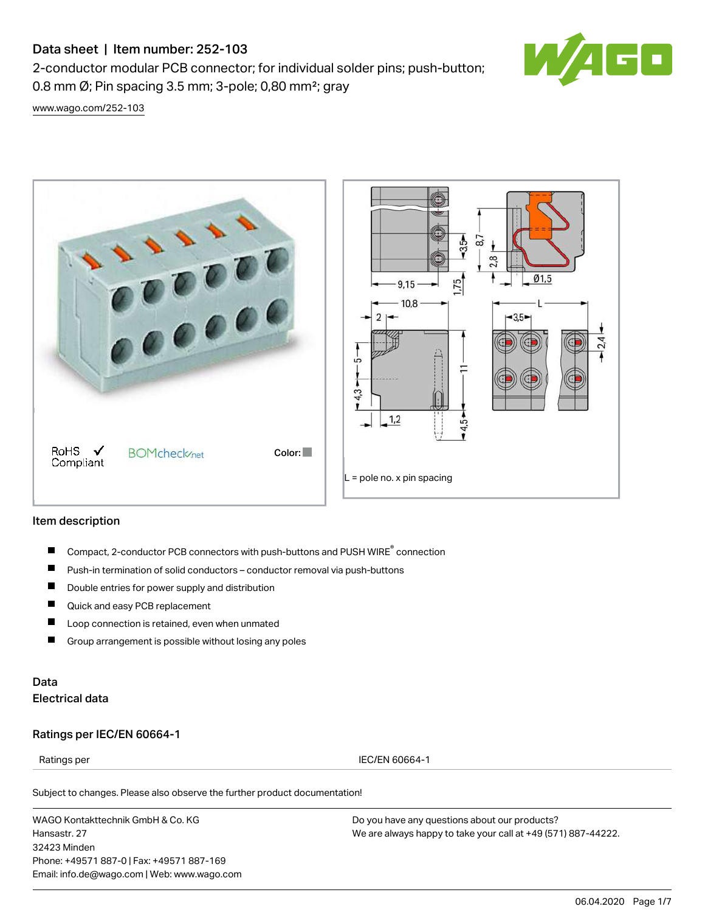# Data sheet | Item number: 252-103

2-conductor modular PCB connector; for individual solder pins; push-button; 0.8 mm Ø; Pin spacing 3.5 mm; 3-pole; 0,80 mm²; gray



[www.wago.com/252-103](http://www.wago.com/252-103)



#### Item description

- Compact, 2-conductor PCB connectors with push-buttons and PUSH WIRE<sup>®</sup> connection П
- $\blacksquare$ Push-in termination of solid conductors – conductor removal via push-buttons
- $\blacksquare$ Double entries for power supply and distribution
- $\blacksquare$ Quick and easy PCB replacement
- П Loop connection is retained, even when unmated
- $\blacksquare$ Group arrangement is possible without losing any poles

## Data Electrical data

#### Ratings per IEC/EN 60664-1

Ratings per IEC/EN 60664-1

Subject to changes. Please also observe the further product documentation!

WAGO Kontakttechnik GmbH & Co. KG Hansastr. 27 32423 Minden Phone: +49571 887-0 | Fax: +49571 887-169 Email: info.de@wago.com | Web: www.wago.com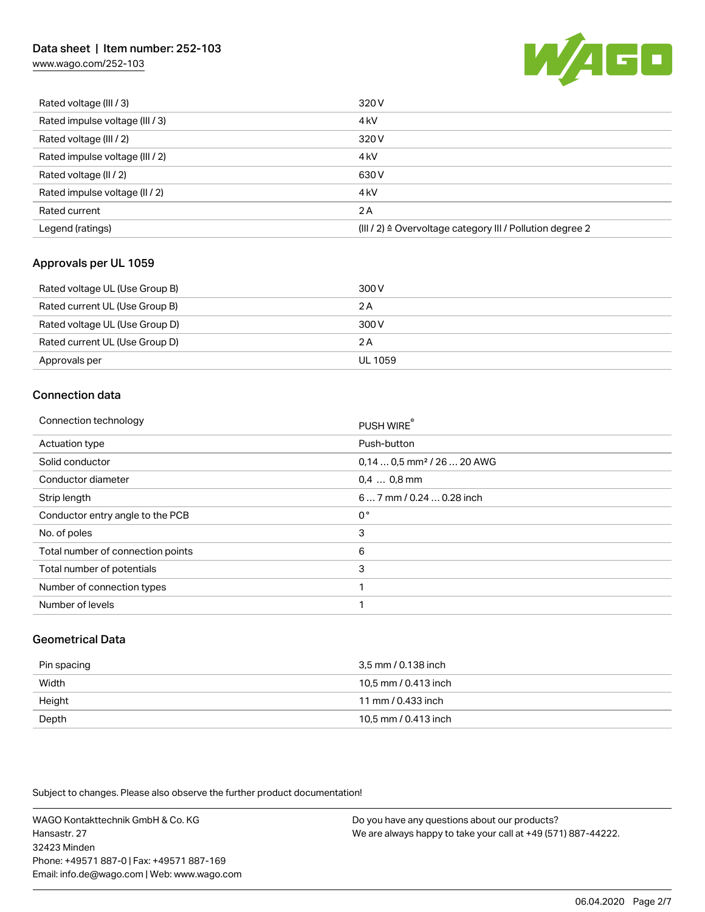## Data sheet | Item number: 252-103

[www.wago.com/252-103](http://www.wago.com/252-103)



| Rated voltage (III / 3)         | 320 V                                                     |
|---------------------------------|-----------------------------------------------------------|
| Rated impulse voltage (III / 3) | 4 <sub>k</sub> V                                          |
| Rated voltage (III / 2)         | 320 V                                                     |
| Rated impulse voltage (III / 2) | 4 <sub>k</sub> V                                          |
| Rated voltage (II / 2)          | 630 V                                                     |
| Rated impulse voltage (II / 2)  | 4 <sub>k</sub> V                                          |
| Rated current                   | 2A                                                        |
| Legend (ratings)                | (III / 2) ≙ Overvoltage category III / Pollution degree 2 |

### Approvals per UL 1059

| Rated voltage UL (Use Group B) | 300 V   |
|--------------------------------|---------|
| Rated current UL (Use Group B) | 2 A     |
| Rated voltage UL (Use Group D) | 300 V   |
| Rated current UL (Use Group D) | 2 A     |
| Approvals per                  | UL 1059 |

## Connection data

| Connection technology             | PUSH WIRE®                             |
|-----------------------------------|----------------------------------------|
| <b>Actuation type</b>             | Push-button                            |
| Solid conductor                   | 0,14  0,5 mm <sup>2</sup> / 26  20 AWG |
| Conductor diameter                | $0.4$ 0.8 mm                           |
| Strip length                      | 6 7 mm / 0.24  0.28 inch               |
| Conductor entry angle to the PCB  | $0^{\circ}$                            |
| No. of poles                      | 3                                      |
| Total number of connection points | 6                                      |
| Total number of potentials        | 3                                      |
| Number of connection types        |                                        |
| Number of levels                  |                                        |
|                                   |                                        |

### Geometrical Data

| Pin spacing | 3,5 mm / 0.138 inch  |
|-------------|----------------------|
| Width       | 10.5 mm / 0.413 inch |
| Height      | 11 mm / 0.433 inch   |
| Depth       | 10,5 mm / 0.413 inch |

Subject to changes. Please also observe the further product documentation!

WAGO Kontakttechnik GmbH & Co. KG Hansastr. 27 32423 Minden Phone: +49571 887-0 | Fax: +49571 887-169 Email: info.de@wago.com | Web: www.wago.com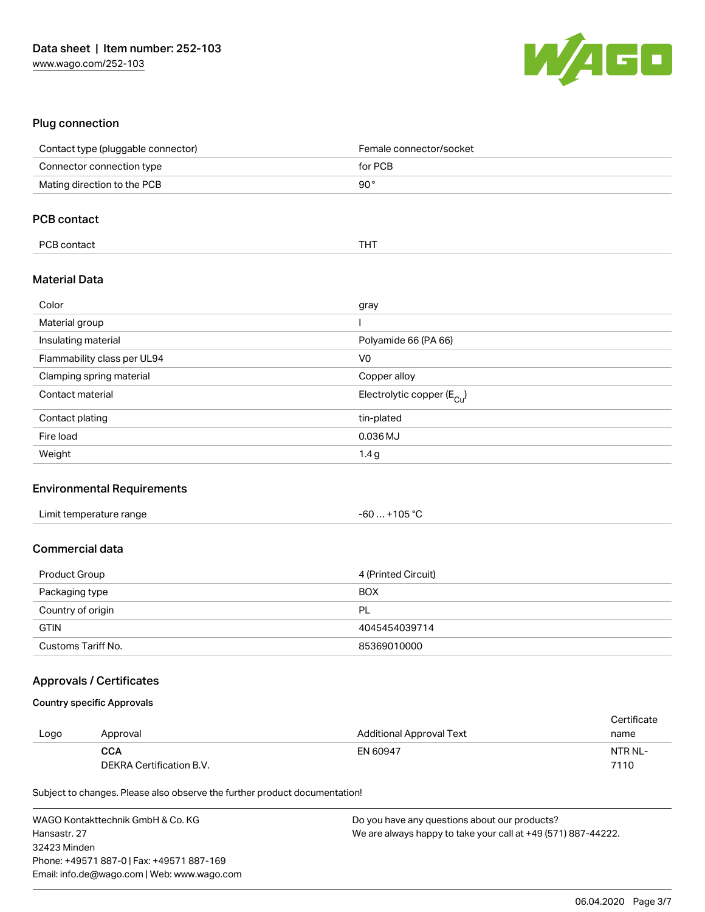

### Plug connection

| Contact type (pluggable connector) | Female connector/socket                 |
|------------------------------------|-----------------------------------------|
| Connector connection type          | for PCB                                 |
| Mating direction to the PCB        | $90^{\circ}$                            |
| <b>PCB contact</b>                 |                                         |
|                                    |                                         |
| PCB contact                        | <b>THT</b>                              |
| <b>Material Data</b>               |                                         |
| Color                              | gray                                    |
| Material group                     |                                         |
| Insulating material                | Polyamide 66 (PA 66)                    |
| Flammability class per UL94        | V <sub>0</sub>                          |
| Clamping spring material           | Copper alloy                            |
| Contact material                   | Electrolytic copper ( $E_{\text{Cl}}$ ) |
| Contact plating                    | tin-plated                              |
| Fire load                          | 0.036 MJ                                |
| Weight                             | 1.4 <sub>g</sub>                        |

### Environmental Requirements

| Limit temperature range | $. +105 °C$<br>- 60  . |  |
|-------------------------|------------------------|--|
|-------------------------|------------------------|--|

#### Commercial data

| Product Group      | 4 (Printed Circuit) |
|--------------------|---------------------|
| Packaging type     | <b>BOX</b>          |
| Country of origin  | PL                  |
| <b>GTIN</b>        | 4045454039714       |
| Customs Tariff No. | 85369010000         |

### Approvals / Certificates

#### Country specific Approvals

|      |                          |                          | Certificate |
|------|--------------------------|--------------------------|-------------|
| Logo | Approval                 | Additional Approval Text | name        |
|      | <b>CCA</b>               | EN 60947                 | NTR NL-     |
|      | DEKRA Certification B.V. |                          | 7110        |

Subject to changes. Please also observe the further product documentation!

WAGO Kontakttechnik GmbH & Co. KG Hansastr. 27 32423 Minden Phone: +49571 887-0 | Fax: +49571 887-169 Email: info.de@wago.com | Web: www.wago.com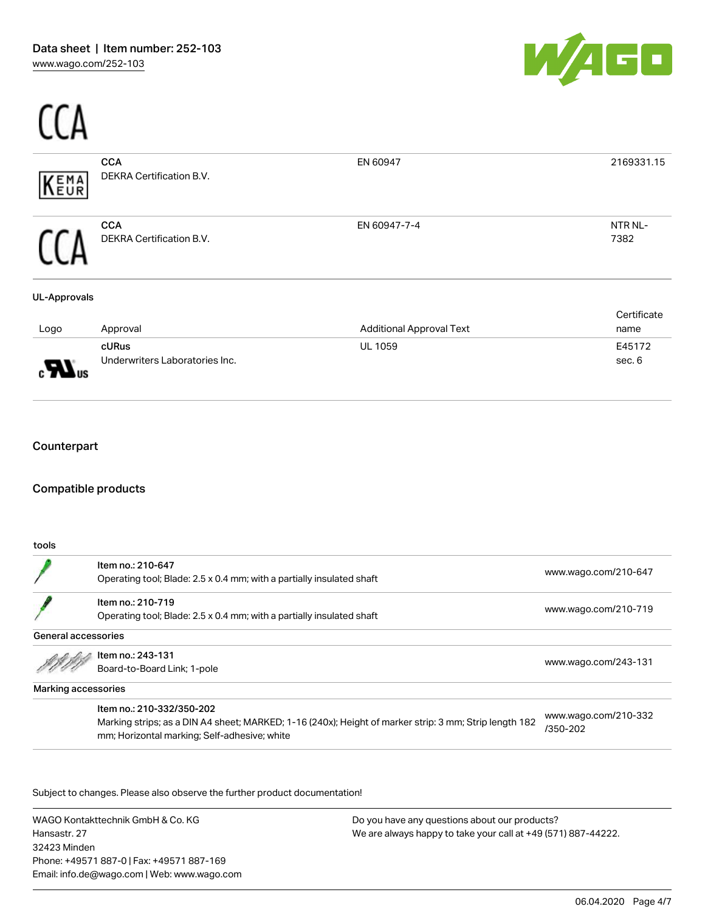$\overline{C}$ 



| EMA<br>EUR                 | <b>CCA</b><br>DEKRA Certification B.V.  | EN 60947                        | 2169331.15          |
|----------------------------|-----------------------------------------|---------------------------------|---------------------|
|                            | <b>CCA</b><br>DEKRA Certification B.V.  | EN 60947-7-4                    | NTR NL-<br>7382     |
| <b>UL-Approvals</b>        |                                         |                                 |                     |
| Logo                       | Approval                                | <b>Additional Approval Text</b> | Certificate<br>name |
| AL <sub>US</sub>           | cURus<br>Underwriters Laboratories Inc. | UL 1059                         | E45172<br>sec. 6    |
| Counterpart                |                                         |                                 |                     |
| <b>Compatible products</b> |                                         |                                 |                     |

tools

|                     | Item no.: 210-647                                                                                                                                      | www.wago.com/210-647             |
|---------------------|--------------------------------------------------------------------------------------------------------------------------------------------------------|----------------------------------|
|                     | Operating tool; Blade: 2.5 x 0.4 mm; with a partially insulated shaft                                                                                  |                                  |
|                     | Item no.: 210-719                                                                                                                                      |                                  |
|                     | Operating tool; Blade: 2.5 x 0.4 mm; with a partially insulated shaft                                                                                  | www.wago.com/210-719             |
| General accessories |                                                                                                                                                        |                                  |
|                     | Item no.: 243-131                                                                                                                                      | www.wago.com/243-131             |
|                     | Board-to-Board Link; 1-pole                                                                                                                            |                                  |
| Marking accessories |                                                                                                                                                        |                                  |
|                     | Item no.: 210-332/350-202                                                                                                                              |                                  |
|                     | Marking strips; as a DIN A4 sheet; MARKED; 1-16 (240x); Height of marker strip: 3 mm; Strip length 182<br>mm; Horizontal marking; Self-adhesive; white | www.wago.com/210-332<br>/350-202 |
|                     |                                                                                                                                                        |                                  |

Subject to changes. Please also observe the further product documentation!

WAGO Kontakttechnik GmbH & Co. KG Hansastr. 27 32423 Minden Phone: +49571 887-0 | Fax: +49571 887-169 Email: info.de@wago.com | Web: www.wago.com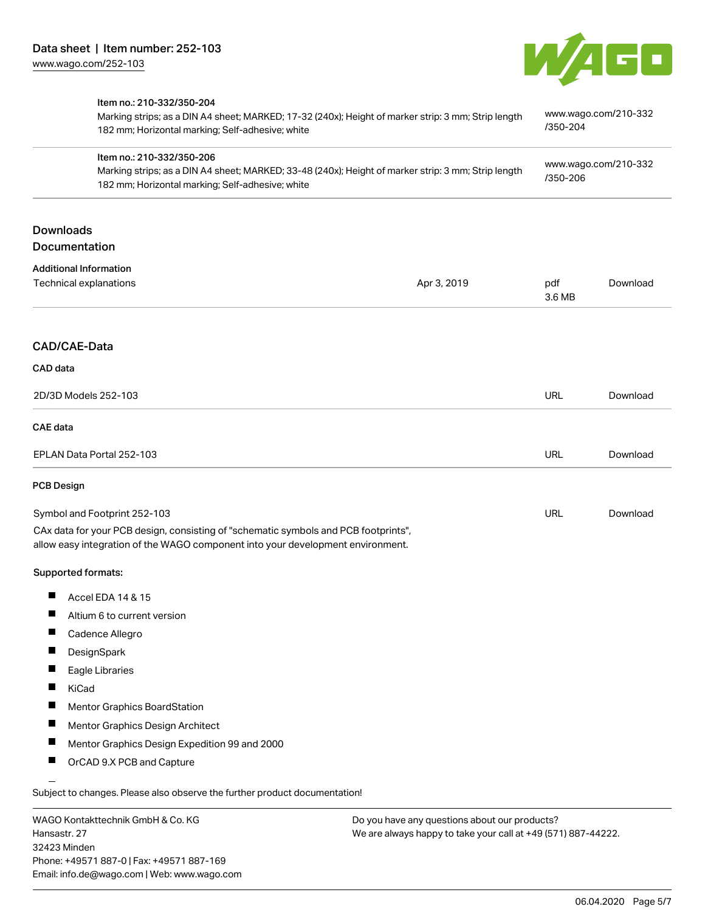

|                                                                                                                                                                                      | Item no.: 210-332/350-204<br>Marking strips; as a DIN A4 sheet; MARKED; 17-32 (240x); Height of marker strip: 3 mm; Strip length<br>182 mm; Horizontal marking; Self-adhesive; white |                                  | www.wago.com/210-332<br>/350-204 |          |  |  |
|--------------------------------------------------------------------------------------------------------------------------------------------------------------------------------------|--------------------------------------------------------------------------------------------------------------------------------------------------------------------------------------|----------------------------------|----------------------------------|----------|--|--|
| Item no.: 210-332/350-206<br>Marking strips; as a DIN A4 sheet; MARKED; 33-48 (240x); Height of marker strip: 3 mm; Strip length<br>182 mm; Horizontal marking; Self-adhesive; white |                                                                                                                                                                                      | www.wago.com/210-332<br>/350-206 |                                  |          |  |  |
| <b>Downloads</b><br><b>Documentation</b>                                                                                                                                             |                                                                                                                                                                                      |                                  |                                  |          |  |  |
| <b>Additional Information</b>                                                                                                                                                        |                                                                                                                                                                                      |                                  |                                  |          |  |  |
|                                                                                                                                                                                      | Technical explanations                                                                                                                                                               | Apr 3, 2019                      | pdf<br>3.6 MB                    | Download |  |  |
| CAD/CAE-Data                                                                                                                                                                         |                                                                                                                                                                                      |                                  |                                  |          |  |  |
| CAD data                                                                                                                                                                             |                                                                                                                                                                                      |                                  |                                  |          |  |  |
|                                                                                                                                                                                      | 2D/3D Models 252-103                                                                                                                                                                 |                                  | <b>URL</b>                       | Download |  |  |
| <b>CAE</b> data                                                                                                                                                                      |                                                                                                                                                                                      |                                  |                                  |          |  |  |
|                                                                                                                                                                                      | EPLAN Data Portal 252-103                                                                                                                                                            |                                  | <b>URL</b>                       | Download |  |  |
| <b>PCB Design</b>                                                                                                                                                                    |                                                                                                                                                                                      |                                  |                                  |          |  |  |
|                                                                                                                                                                                      | Symbol and Footprint 252-103                                                                                                                                                         |                                  | <b>URL</b>                       | Download |  |  |
|                                                                                                                                                                                      | CAx data for your PCB design, consisting of "schematic symbols and PCB footprints",<br>allow easy integration of the WAGO component into your development environment.               |                                  |                                  |          |  |  |
| Supported formats:                                                                                                                                                                   |                                                                                                                                                                                      |                                  |                                  |          |  |  |
| Ш                                                                                                                                                                                    | Accel EDA 14 & 15                                                                                                                                                                    |                                  |                                  |          |  |  |
|                                                                                                                                                                                      | Altium 6 to current version                                                                                                                                                          |                                  |                                  |          |  |  |
| ш                                                                                                                                                                                    | Cadence Allegro                                                                                                                                                                      |                                  |                                  |          |  |  |
|                                                                                                                                                                                      | DesignSpark                                                                                                                                                                          |                                  |                                  |          |  |  |
|                                                                                                                                                                                      | Eagle Libraries                                                                                                                                                                      |                                  |                                  |          |  |  |
| ш<br>KiCad                                                                                                                                                                           |                                                                                                                                                                                      |                                  |                                  |          |  |  |
|                                                                                                                                                                                      | Mentor Graphics BoardStation                                                                                                                                                         |                                  |                                  |          |  |  |
| L                                                                                                                                                                                    | Mentor Graphics Design Architect                                                                                                                                                     |                                  |                                  |          |  |  |
| L                                                                                                                                                                                    | Mentor Graphics Design Expedition 99 and 2000                                                                                                                                        |                                  |                                  |          |  |  |
| ш                                                                                                                                                                                    | OrCAD 9.X PCB and Capture                                                                                                                                                            |                                  |                                  |          |  |  |

WAGO Kontakttechnik GmbH & Co. KG Hansastr. 27 32423 Minden Phone: +49571 887-0 | Fax: +49571 887-169 Email: info.de@wago.com | Web: www.wago.com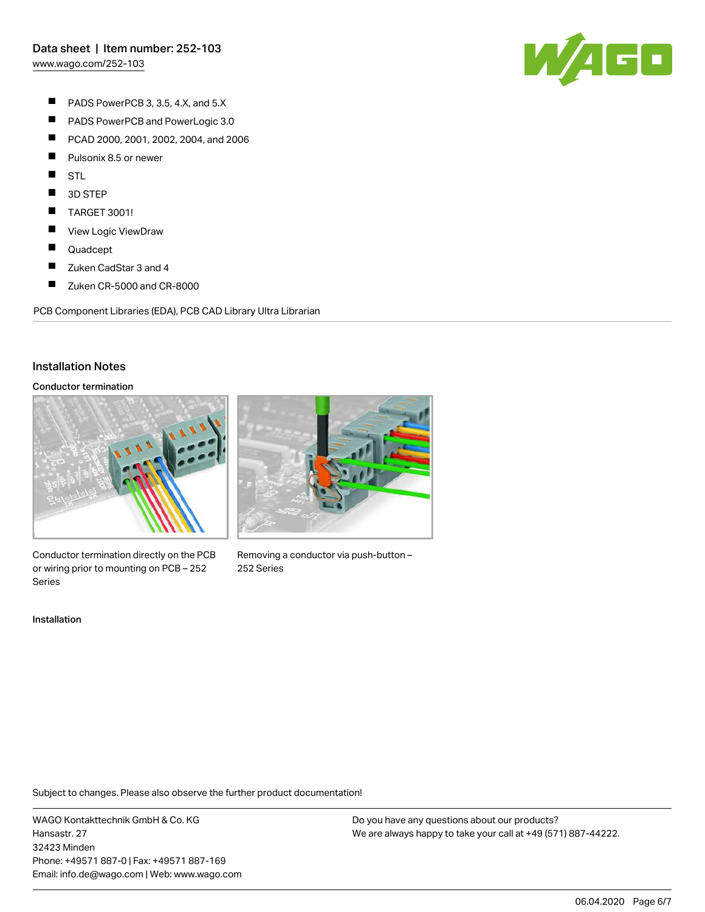[www.wago.com/252-103](http://www.wago.com/252-103)



- $\blacksquare$ PADS PowerPCB 3, 3.5, 4.X, and 5.X
- $\blacksquare$ PADS PowerPCB and PowerLogic 3.0
- $\blacksquare$ PCAD 2000, 2001, 2002, 2004, and 2006
- $\blacksquare$ Pulsonix 8.5 or newer
- $\blacksquare$ STL
- П 3D STEP
- $\blacksquare$ TARGET 3001!
- $\blacksquare$ View Logic ViewDraw
- $\blacksquare$ Quadcept
- $\blacksquare$ Zuken CadStar 3 and 4
- $\blacksquare$ Zuken CR-5000 and CR-8000

PCB Component Libraries (EDA), PCB CAD Library Ultra Librarian

#### Installation Notes

#### Conductor termination



Conductor termination directly on the PCB or wiring prior to mounting on PCB – 252 Series

Installation



Removing a conductor via push-button – 252 Series

Subject to changes. Please also observe the further product documentation!

WAGO Kontakttechnik GmbH & Co. KG Hansastr. 27 32423 Minden Phone: +49571 887-0 | Fax: +49571 887-169 Email: info.de@wago.com | Web: www.wago.com